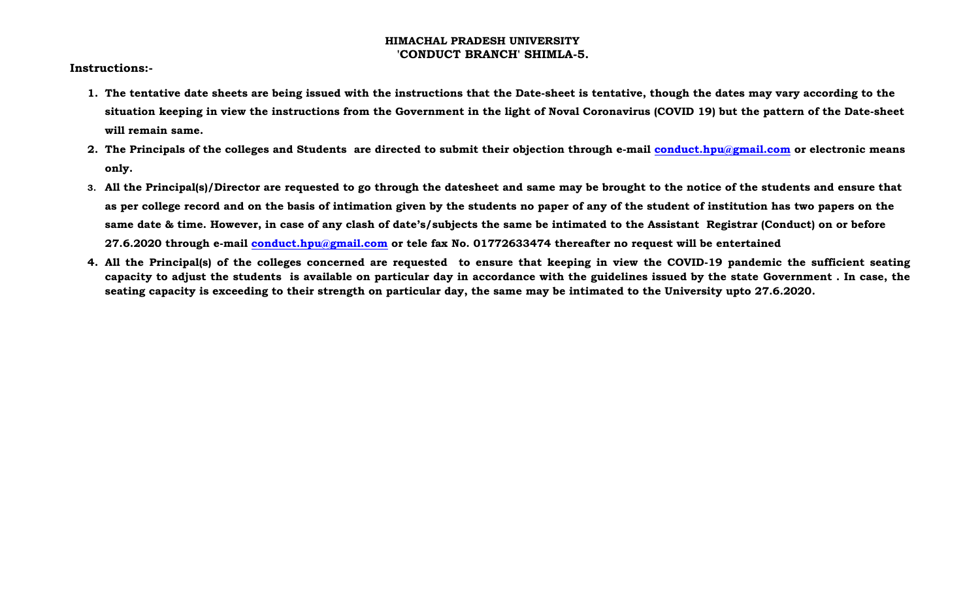## **HIMACHAL PRADESH UNIVERSITY 'CONDUCT BRANCH' SHIMLA-5.**

**Instructions:-**

- **1. The tentative date sheets are being issued with the instructions that the Date-sheet is tentative, though the dates may vary according to the situation keeping in view the instructions from the Government in the light of Noval Coronavirus (COVID 19) but the pattern of the Date-sheet will remain same.**
- **2. The Principals of the colleges and Students are directed to submit their objection through e-mail [conduct.hpu@gmail.com](mailto:conduct.hpu@gmail.com) or electronic means only.**
- **3. All the Principal(s)/Director are requested to go through the datesheet and same may be brought to the notice of the students and ensure that as per college record and on the basis of intimation given by the students no paper of any of the student of institution has two papers on the same date & time. However, in case of any clash of date's/subjects the same be intimated to the Assistant Registrar (Conduct) on or before 27.6.2020 through e-mail [conduct.hpu@gmail.com](mailto:conduct.hpu@gmail.com) or tele fax No. 01772633474 thereafter no request will be entertained**
- **4. All the Principal(s) of the colleges concerned are requested to ensure that keeping in view the COVID-19 pandemic the sufficient seating capacity to adjust the students is available on particular day in accordance with the guidelines issued by the state Government . In case, the seating capacity is exceeding to their strength on particular day, the same may be intimated to the University upto 27.6.2020.**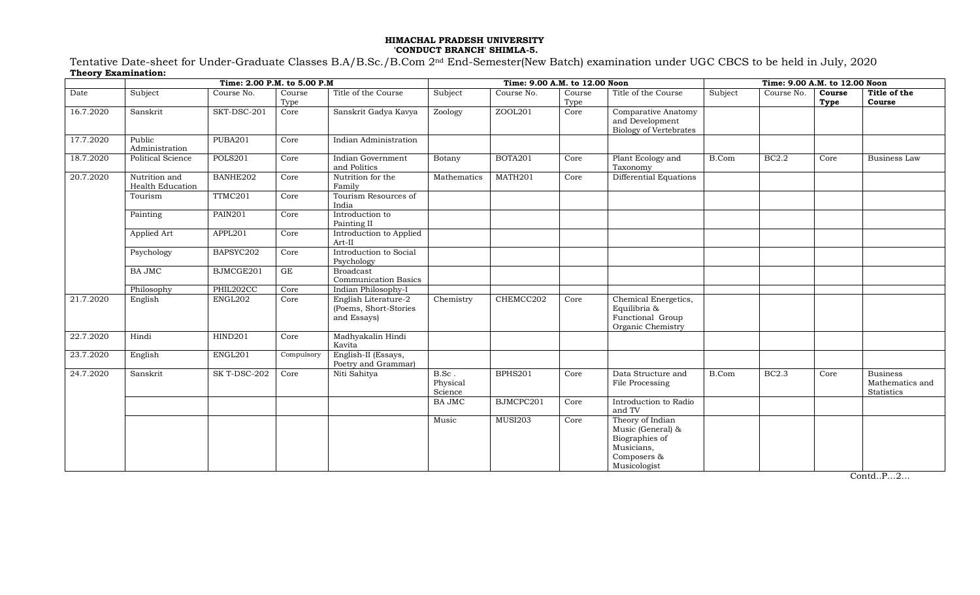#### **HIMACHAL PRADESH UNIVERSITY 'CONDUCT BRANCH' SHIMLA-5.**

Tentative Date-sheet for Under-Graduate Classes B.A/B.Sc./B.Com 2nd End-Semester(New Batch) examination under UGC CBCS to be held in July, 2020 **Theory Examination:**

|           |                                   | Time: 2.00 P.M. to 5.00 P.M | Time: 9.00 A.M. to 12.00 Noon |                                                              |                              |                |                | Time: 9.00 A.M. to 12.00 Noon                                                                        |         |              |                |                                                  |
|-----------|-----------------------------------|-----------------------------|-------------------------------|--------------------------------------------------------------|------------------------------|----------------|----------------|------------------------------------------------------------------------------------------------------|---------|--------------|----------------|--------------------------------------------------|
| Date      | Subject                           | Course No.                  | Course<br>Type                | Title of the Course                                          | Subject                      | Course No.     | Course<br>Type | Title of the Course                                                                                  | Subject | Course No.   | Course<br>Type | Title of the<br>Course                           |
| 16.7.2020 | Sanskrit                          | SKT-DSC-201                 | Core                          | Sanskrit Gadya Kavya                                         | Zoology                      | ZOOL201        | Core           | Comparative Anatomy<br>and Development<br><b>Biology of Vertebrates</b>                              |         |              |                |                                                  |
| 17.7.2020 | Public<br>Administration          | PUBA201                     | Core                          | Indian Administration                                        |                              |                |                |                                                                                                      |         |              |                |                                                  |
| 18.7.2020 | <b>Political Science</b>          | POLS201                     | Core                          | Indian Government<br>and Politics                            | Botany                       | BOTA201        | Core           | Plant Ecology and<br>Taxonomy                                                                        | B.Com   | <b>BC2.2</b> | Core           | Business Law                                     |
| 20.7.2020 | Nutrition and<br>Health Education | BANHE202                    | Core                          | Nutrition for the<br>Family                                  | Mathematics                  | MATH201        | Core           | Differential Equations                                                                               |         |              |                |                                                  |
|           | Tourism                           | TTMC201                     | Core                          | Tourism Resources of<br>India                                |                              |                |                |                                                                                                      |         |              |                |                                                  |
|           | Painting                          | PAIN201                     | Core                          | Introduction to<br>Painting II                               |                              |                |                |                                                                                                      |         |              |                |                                                  |
|           | Applied Art                       | APPL201                     | Core                          | Introduction to Applied<br>Art-II                            |                              |                |                |                                                                                                      |         |              |                |                                                  |
|           | Psychology                        | BAPSYC202                   | Core                          | Introduction to Social<br>Psychology                         |                              |                |                |                                                                                                      |         |              |                |                                                  |
|           | <b>BA JMC</b>                     | BJMCGE201                   | GE                            | <b>Broadcast</b><br><b>Communication Basics</b>              |                              |                |                |                                                                                                      |         |              |                |                                                  |
|           | Philosophy                        | PHIL202CC                   | Core                          | Indian Philosophy-I                                          |                              |                |                |                                                                                                      |         |              |                |                                                  |
| 21.7.2020 | English                           | ENGL202                     | Core                          | English Literature-2<br>(Poems, Short-Stories<br>and Essays) | Chemistry                    | CHEMCC202      | Core           | Chemical Energetics,<br>Equilibria &<br>Functional Group<br>Organic Chemistry                        |         |              |                |                                                  |
| 22.7.2020 | Hindi                             | HIND201                     | Core                          | Madhyakalin Hindi<br>Kavita                                  |                              |                |                |                                                                                                      |         |              |                |                                                  |
| 23.7.2020 | English                           | ENGL201                     | Compulsory                    | English-II (Essays,<br>Poetry and Grammar)                   |                              |                |                |                                                                                                      |         |              |                |                                                  |
| 24.7.2020 | Sanskrit                          | SK T-DSC-202                | Core                          | Niti Sahitya                                                 | B.Sc.<br>Physical<br>Science | BPHS201        | Core           | Data Structure and<br>File Processing                                                                | B.Com   | <b>BC2.3</b> | Core           | <b>Business</b><br>Mathematics and<br>Statistics |
|           |                                   |                             |                               |                                                              | <b>BA JMC</b>                | BJMCPC201      | Core           | Introduction to Radio<br>and TV                                                                      |         |              |                |                                                  |
|           |                                   |                             |                               |                                                              | Music                        | <b>MUSI203</b> | Core           | Theory of Indian<br>Music (General) &<br>Biographies of<br>Musicians,<br>Composers &<br>Musicologist |         |              |                |                                                  |

Contd..P…2…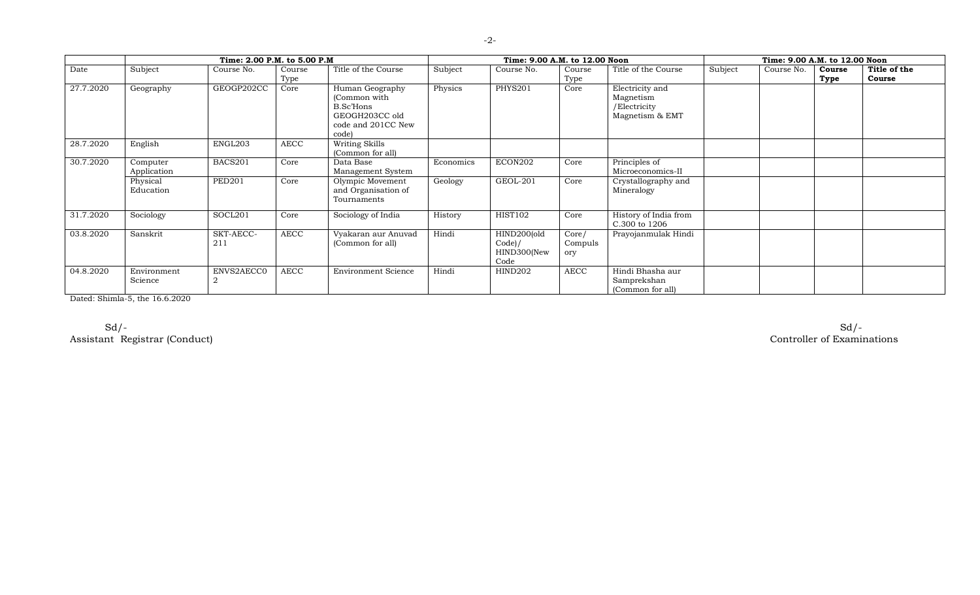|           |                         | Time: 2.00 P.M. to 5.00 P.M. |                | Time: 9.00 A.M. to 12.00 Noon                                                                 |           |                                                | Time: 9.00 A.M. to 12.00 Noon |                                                                 |         |            |                |                        |
|-----------|-------------------------|------------------------------|----------------|-----------------------------------------------------------------------------------------------|-----------|------------------------------------------------|-------------------------------|-----------------------------------------------------------------|---------|------------|----------------|------------------------|
| Date      | Subject                 | Course No.                   | Course<br>Type | Title of the Course                                                                           | Subject   | Course No.                                     | Course<br>Type                | Title of the Course                                             | Subject | Course No. | Course<br>Type | Title of the<br>Course |
| 27.7.2020 | Geography               | GEOGP202CC                   | Core           | Human Geography<br>(Common with<br>B.Sc'Hons<br>GEOGH203CC old<br>code and 201CC New<br>code) | Physics   | <b>PHYS201</b>                                 | Core                          | Electricity and<br>Magnetism<br>/Electricity<br>Magnetism & EMT |         |            |                |                        |
| 28.7.2020 | English                 | ENGL203                      | AECC           | Writing Skills<br>(Common for all)                                                            |           |                                                |                               |                                                                 |         |            |                |                        |
| 30.7.2020 | Computer<br>Application | BACS201                      | Core           | Data Base<br>Management System                                                                | Economics | ECON202                                        | Core                          | Principles of<br>Microeconomics-II                              |         |            |                |                        |
|           | Physical<br>Education   | <b>PED201</b>                | Core           | Olympic Movement<br>and Organisation of<br>Tournaments                                        | Geology   | GEOL-201                                       | Core                          | Crystallography and<br>Mineralogy                               |         |            |                |                        |
| 31.7.2020 | Sociology               | SOCL201                      | Core           | Sociology of India                                                                            | History   | <b>HIST102</b>                                 | Core                          | History of India from<br>C.300 to 1206                          |         |            |                |                        |
| 03.8.2020 | Sanskrit                | SKT-AECC-<br>211             | AECC           | Vyakaran aur Anuvad<br>(Common for all)                                                       | Hindi     | HIND200(old<br>$Code$ /<br>HIND300(New<br>Code | Core/<br>Compuls<br>ory       | Prayojanmulak Hindi                                             |         |            |                |                        |
| 04.8.2020 | Environment<br>Science  | ENVS2AECC0                   | AECC           | <b>Environment Science</b>                                                                    | Hindi     | HIND202                                        | AECC                          | Hindi Bhasha aur<br>Samprekshan<br>(Common for all)             |         |            |                |                        |

Dated: Shimla-5, the 16.6.2020

Sd/- Sd/- Assistant Registrar (Conduct) Controller of Examinations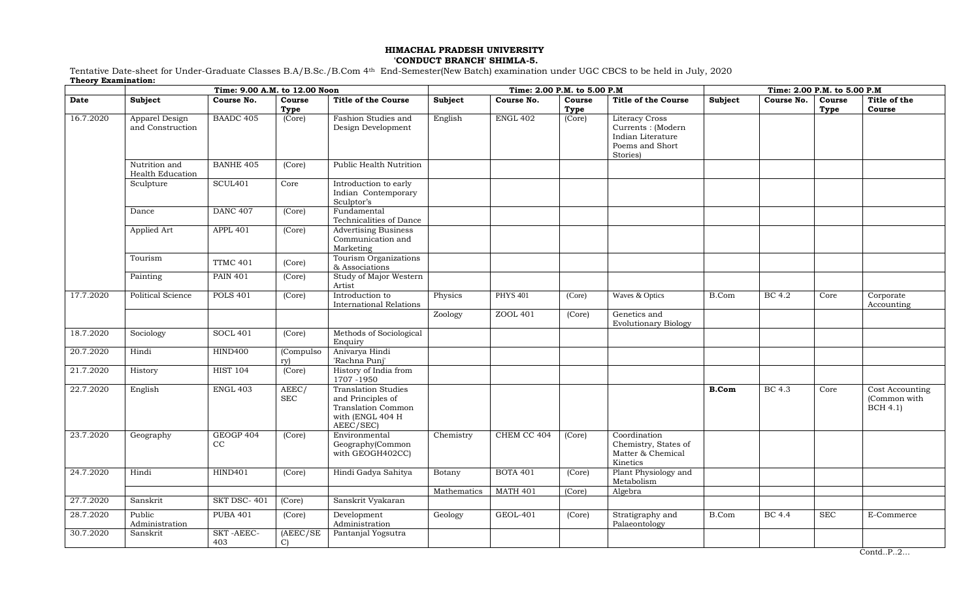# **HIMACHAL PRADESH UNIVERSITY**

#### **'CONDUCT BRANCH' SHIMLA-5.**

Tentative Date-sheet for Under-Graduate Classes B.A/B.Sc./B.Com 4th End-Semester(New Batch) examination under UGC CBCS to be held in July, 2020 **Theory Examination:**

|           | Time: 9.00 A.M. to 12.00 Noon      |                     | Time: 2.00 P.M. to 5.00 P.M |                                                                                                               |             |                 |        | Time: 2.00 P.M. to 5.00 P.M                                                                     |              |               |            |                                                    |
|-----------|------------------------------------|---------------------|-----------------------------|---------------------------------------------------------------------------------------------------------------|-------------|-----------------|--------|-------------------------------------------------------------------------------------------------|--------------|---------------|------------|----------------------------------------------------|
| Date      | Subject                            | Course No.          | Course                      | <b>Title of the Course</b>                                                                                    | Subject     | Course No.      | Course | <b>Title of the Course</b>                                                                      | Subject      | Course No.    | Course     | Title of the                                       |
|           |                                    |                     | Type                        |                                                                                                               |             |                 | Type   |                                                                                                 |              |               | Type       | Course                                             |
| 16.7.2020 | Apparel Design<br>and Construction | <b>BAADC 405</b>    | (Core)                      | Fashion Studies and<br>Design Development                                                                     | English     | <b>ENGL 402</b> | (Core) | <b>Literacy Cross</b><br>Currents : (Modern<br>Indian Literature<br>Poems and Short<br>Stories) |              |               |            |                                                    |
|           | Nutrition and<br>Health Education  | <b>BANHE 405</b>    | (Core)                      | Public Health Nutrition                                                                                       |             |                 |        |                                                                                                 |              |               |            |                                                    |
|           | Sculpture                          | SCUL <sub>401</sub> | Core                        | Introduction to early<br>Indian Contemporary<br>Sculptor's                                                    |             |                 |        |                                                                                                 |              |               |            |                                                    |
|           | Dance                              | <b>DANC 407</b>     | (Core)                      | Fundamental<br>Technicalities of Dance                                                                        |             |                 |        |                                                                                                 |              |               |            |                                                    |
|           | Applied Art                        | <b>APPL 401</b>     | (Core)                      | <b>Advertising Business</b><br>Communication and<br>Marketing                                                 |             |                 |        |                                                                                                 |              |               |            |                                                    |
|           | Tourism                            | <b>TTMC 401</b>     | (Core)                      | Tourism Organizations<br>& Associations                                                                       |             |                 |        |                                                                                                 |              |               |            |                                                    |
|           | Painting                           | <b>PAIN 401</b>     | (Core)                      | Study of Major Western<br>Artist                                                                              |             |                 |        |                                                                                                 |              |               |            |                                                    |
| 17.7.2020 | <b>Political Science</b>           | <b>POLS 401</b>     | (Core)                      | Introduction to<br><b>International Relations</b>                                                             | Physics     | <b>PHYS 401</b> | (Core) | Waves & Optics                                                                                  | B.Com        | BC 4.2        | Core       | Corporate<br>Accounting                            |
|           |                                    |                     |                             |                                                                                                               | Zoology     | ZOOL 401        | (Core) | Genetics and<br><b>Evolutionary Biology</b>                                                     |              |               |            |                                                    |
| 18.7.2020 | Sociology                          | <b>SOCL 401</b>     | (Core)                      | Methods of Sociological<br>Enquiry                                                                            |             |                 |        |                                                                                                 |              |               |            |                                                    |
| 20.7.2020 | Hindi                              | HIND400             | (Compulso<br>rv)            | Anivarya Hindi<br>'Rachna Punj'                                                                               |             |                 |        |                                                                                                 |              |               |            |                                                    |
| 21.7.2020 | History                            | <b>HIST 104</b>     | (Core)                      | History of India from<br>1707 - 1950                                                                          |             |                 |        |                                                                                                 |              |               |            |                                                    |
| 22.7.2020 | English                            | ENGL 403            | AEEC/<br><b>SEC</b>         | <b>Translation Studies</b><br>and Principles of<br><b>Translation Common</b><br>with (ENGL 404 H<br>AEEC/SEC) |             |                 |        |                                                                                                 | <b>B.Com</b> | BC 4.3        | Core       | Cost Accounting<br>(Common with<br><b>BCH 4.1)</b> |
| 23.7.2020 | Geography                          | GEOGP 404<br>CC     | (Core)                      | Environmental<br>Geography(Common<br>with GEOGH402CC)                                                         | Chemistry   | CHEM CC 404     | (Core) | Coordination<br>Chemistry, States of<br>Matter & Chemical<br>Kinetics                           |              |               |            |                                                    |
| 24.7.2020 | Hindi                              | <b>HIND401</b>      | (Core)                      | Hindi Gadya Sahitya                                                                                           | Botany      | <b>BOTA 401</b> | (Core) | Plant Physiology and<br>Metabolism                                                              |              |               |            |                                                    |
|           |                                    |                     |                             |                                                                                                               | Mathematics | <b>MATH 401</b> | (Core) | Algebra                                                                                         |              |               |            |                                                    |
| 27.7.2020 | Sanskrit                           | SKT DSC-401         | (Core)                      | Sanskrit Vyakaran                                                                                             |             |                 |        |                                                                                                 |              |               |            |                                                    |
| 28.7.2020 | Public<br>Administration           | <b>PUBA 401</b>     | (Core)                      | Development<br>Administration                                                                                 | Geology     | <b>GEOL-401</b> | (Core) | Stratigraphy and<br>Palaeontology                                                               | B.Com        | <b>BC</b> 4.4 | <b>SEC</b> | E-Commerce                                         |
| 30.7.2020 | Sanskrit                           | SKT-AEEC-<br>403    | (AEEC/SE)<br>$\mathcal{C}$  | Pantanjal Yogsutra                                                                                            |             |                 |        |                                                                                                 |              |               |            |                                                    |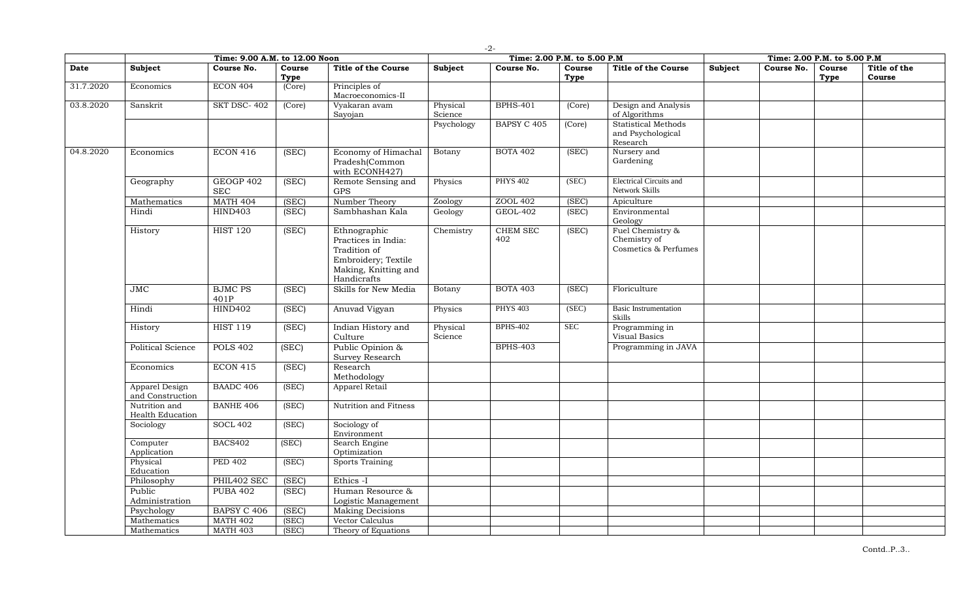|           | Time: 9.00 A.M. to 12.00 Noon      |                         |                |                                                                                                                   | Time: 2.00 P.M. to 5.00 P.M |                        |                |                                                          |         | Time: 2.00 P.M. to 5.00 P.M |                |                        |  |
|-----------|------------------------------------|-------------------------|----------------|-------------------------------------------------------------------------------------------------------------------|-----------------------------|------------------------|----------------|----------------------------------------------------------|---------|-----------------------------|----------------|------------------------|--|
| Date      | <b>Subject</b>                     | Course No.              | Course<br>Type | <b>Title of the Course</b>                                                                                        | <b>Subject</b>              | Course No.             | Course<br>Type | <b>Title of the Course</b>                               | Subject | Course No.                  | Course<br>Type | Title of the<br>Course |  |
| 31.7.2020 | Economics                          | <b>ECON 404</b>         | (Core)         | Principles of<br>Macroeconomics-II                                                                                |                             |                        |                |                                                          |         |                             |                |                        |  |
| 03.8.2020 | Sanskrit                           | SKT DSC-402             | (Core)         | Vyakaran avam<br>Sayojan                                                                                          | Physical<br>Science         | <b>BPHS-401</b>        | (Core)         | Design and Analysis<br>of Algorithms                     |         |                             |                |                        |  |
|           |                                    |                         |                |                                                                                                                   | Psychology                  | <b>BAPSY C 405</b>     | (Core)         | Statistical Methods<br>and Psychological<br>Research     |         |                             |                |                        |  |
| 04.8.2020 | Economics                          | <b>ECON 416</b>         | (SEC)          | Economy of Himachal<br>Pradesh(Common<br>with ECONH427)                                                           | Botany                      | <b>BOTA 402</b>        | (SEC)          | Nursery and<br>Gardening                                 |         |                             |                |                        |  |
|           | Geography                          | GEOGP 402<br><b>SEC</b> | (SEC)          | Remote Sensing and<br><b>GPS</b>                                                                                  | Physics                     | <b>PHYS 402</b>        | (SEC)          | <b>Electrical Circuits and</b><br>Network Skills         |         |                             |                |                        |  |
|           | Mathematics                        | <b>MATH 404</b>         | (SEC)          | Number Theory                                                                                                     | Zoology                     | ZOOL 402               | (SEC)          | Apiculture                                               |         |                             |                |                        |  |
|           | Hindi                              | <b>HIND403</b>          | (SEC)          | Sambhashan Kala                                                                                                   | Geology                     | <b>GEOL-402</b>        | (SEC)          | Environmental<br>Geology                                 |         |                             |                |                        |  |
|           | History                            | <b>HIST 120</b>         | (SEC)          | Ethnographic<br>Practices in India:<br>Tradition of<br>Embroidery; Textile<br>Making, Knitting and<br>Handicrafts | Chemistry                   | <b>CHEM SEC</b><br>402 | (SEC)          | Fuel Chemistry &<br>Chemistry of<br>Cosmetics & Perfumes |         |                             |                |                        |  |
|           | JMC                                | <b>BJMC PS</b><br>401P  | (SEC)          | Skills for New Media                                                                                              | Botany                      | <b>BOTA 403</b>        | (SEC)          | Floriculture                                             |         |                             |                |                        |  |
|           | Hindi                              | <b>HIND402</b>          | (SEC)          | Anuvad Vigyan                                                                                                     | Physics                     | <b>PHYS 403</b>        | (SEC)          | <b>Basic Instrumentation</b><br>Skills                   |         |                             |                |                        |  |
|           | History                            | <b>HIST 119</b>         | (SEC)          | Indian History and<br>Culture                                                                                     | Physical<br>Science         | <b>BPHS-402</b>        | <b>SEC</b>     | Programming in<br>Visual Basics                          |         |                             |                |                        |  |
|           | <b>Political Science</b>           | <b>POLS 402</b>         | (SEC)          | Public Opinion &<br>Survey Research                                                                               |                             | <b>BPHS-403</b>        |                | Programming in JAVA                                      |         |                             |                |                        |  |
|           | Economics                          | <b>ECON 415</b>         | (SEC)          | Research<br>Methodology                                                                                           |                             |                        |                |                                                          |         |                             |                |                        |  |
|           | Apparel Design<br>and Construction | <b>BAADC 406</b>        | (SEC)          | Apparel Retail                                                                                                    |                             |                        |                |                                                          |         |                             |                |                        |  |
|           | Nutrition and<br>Health Education  | <b>BANHE 406</b>        | (SEC)          | Nutrition and Fitness                                                                                             |                             |                        |                |                                                          |         |                             |                |                        |  |
|           | Sociology                          | <b>SOCL 402</b>         | (SEC)          | Sociology of<br>Environment                                                                                       |                             |                        |                |                                                          |         |                             |                |                        |  |
|           | Computer<br>Application            | <b>BACS402</b>          | (SEC)          | Search Engine<br>Optimization                                                                                     |                             |                        |                |                                                          |         |                             |                |                        |  |
|           | Physical<br>Education              | <b>PED 402</b>          | (SEC)          | <b>Sports Training</b>                                                                                            |                             |                        |                |                                                          |         |                             |                |                        |  |
|           | Philosophy                         | PHIL402 SEC             | (SEC)          | Ethics -I                                                                                                         |                             |                        |                |                                                          |         |                             |                |                        |  |
|           | Public                             | <b>PUBA 402</b>         | (SEC)          | Human Resource &                                                                                                  |                             |                        |                |                                                          |         |                             |                |                        |  |
|           | Administration                     |                         |                | Logistic Management                                                                                               |                             |                        |                |                                                          |         |                             |                |                        |  |
|           | Psychology                         | <b>BAPSY C 406</b>      | (SEC)          | <b>Making Decisions</b>                                                                                           |                             |                        |                |                                                          |         |                             |                |                        |  |
|           | Mathematics                        | <b>MATH 402</b>         | (SEC)          | Vector Calculus                                                                                                   |                             |                        |                |                                                          |         |                             |                |                        |  |
|           | Mathematics                        | <b>MATH 403</b>         | (SEC)          | Theory of Equations                                                                                               |                             |                        |                |                                                          |         |                             |                |                        |  |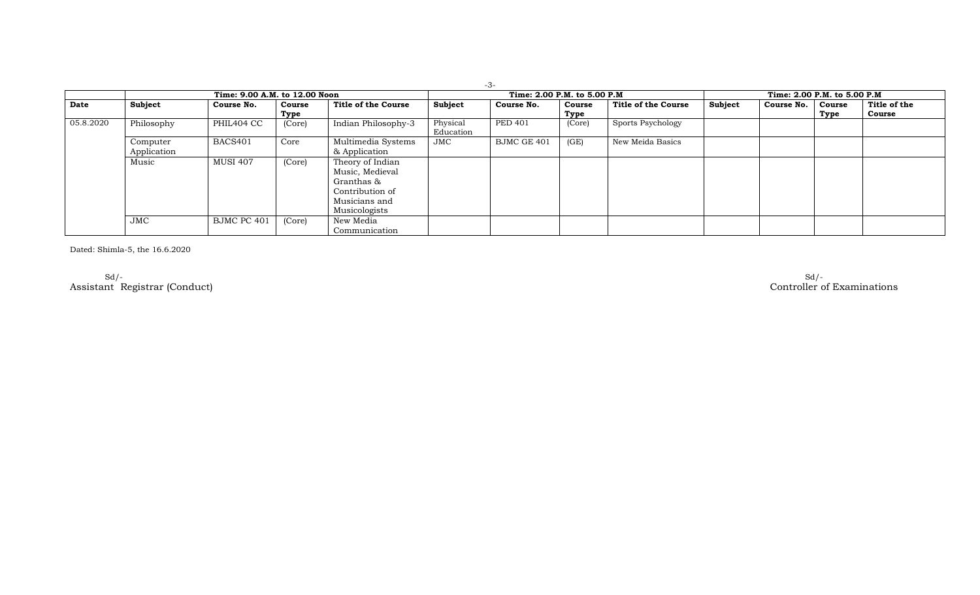|           |                         |                               |                |                                                                                                        |                       | $-3-$                        |                |                     |         |                              |                |                        |
|-----------|-------------------------|-------------------------------|----------------|--------------------------------------------------------------------------------------------------------|-----------------------|------------------------------|----------------|---------------------|---------|------------------------------|----------------|------------------------|
|           |                         | Time: 9.00 A.M. to 12.00 Noon |                |                                                                                                        |                       | Time: 2.00 P.M. to 5.00 P.M. |                |                     |         | Time: 2.00 P.M. to 5.00 P.M. |                |                        |
| Date      | Subject                 | Course No.                    | Course<br>Type | Title of the Course                                                                                    | Subject               | Course No.                   | Course<br>Type | Title of the Course | Subject | Course No.                   | Course<br>Type | Title of the<br>Course |
| 05.8.2020 | Philosophy              | PHIL404 CC                    | (Core)         | Indian Philosophy-3                                                                                    | Physical<br>Education | <b>PED 401</b>               | (Core)         | Sports Psychology   |         |                              |                |                        |
|           | Computer<br>Application | BACS401                       | Core           | Multimedia Systems<br>& Application                                                                    | JMC                   | BJMC GE 401                  | (GE)           | New Meida Basics    |         |                              |                |                        |
|           | Music                   | <b>MUSI 407</b>               | (Core)         | Theory of Indian<br>Music, Medieval<br>Granthas &<br>Contribution of<br>Musicians and<br>Musicologists |                       |                              |                |                     |         |                              |                |                        |
|           | <b>JMC</b>              | BJMC PC 401                   | (Core)         | New Media<br>Communication                                                                             |                       |                              |                |                     |         |                              |                |                        |

Dated: Shimla-5, the 16.6.2020

Sd/- Sd/- Assistant Registrar (Conduct) Controller of Examinations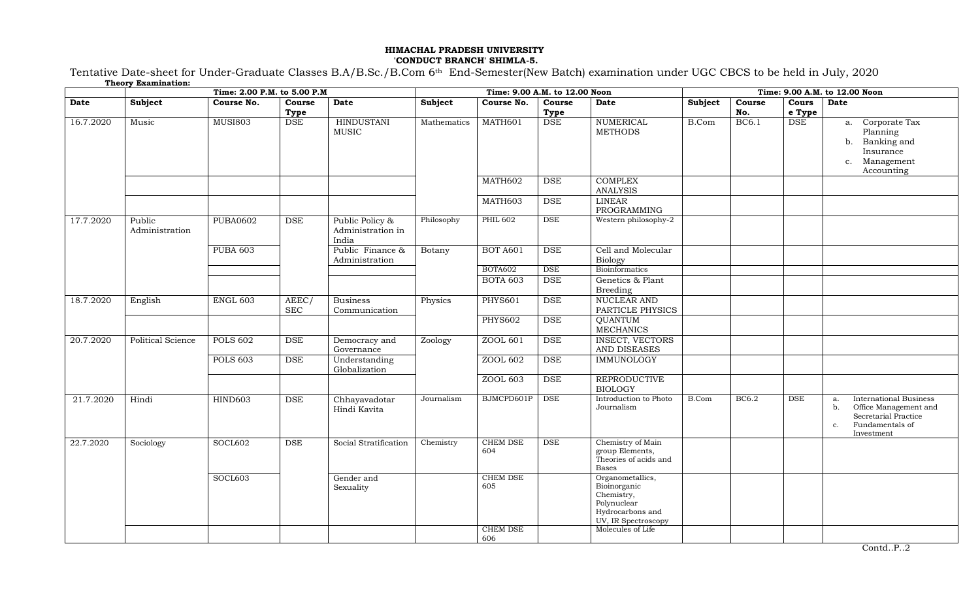### **HIMACHAL PRADESH UNIVERSITY 'CONDUCT BRANCH' SHIMLA-5.**

Tentative Date-sheet for Under-Graduate Classes B.A/B.Sc./B.Com 6th End-Semester(New Batch) examination under UGC CBCS to be held in July, 2020 **Theory Examination:**

|           | Time: 2.00 P.M. to 5.00 P.M |                 |                     |                                               |             | Time: 9.00 A.M. to 12.00 Noon      |                |                                                                                                                               |         |               | Time: 9.00 A.M. to 12.00 Noon |                                                                                                                                   |  |  |
|-----------|-----------------------------|-----------------|---------------------|-----------------------------------------------|-------------|------------------------------------|----------------|-------------------------------------------------------------------------------------------------------------------------------|---------|---------------|-------------------------------|-----------------------------------------------------------------------------------------------------------------------------------|--|--|
| Date      | Subject                     | Course No.      | Course<br>Type      | Date                                          | Subject     | Course No.                         | Course<br>Type | Date                                                                                                                          | Subject | Course<br>No. | Cours<br>e Type               | Date                                                                                                                              |  |  |
| 16.7.2020 | Music                       | <b>MUSI803</b>  | <b>DSE</b>          | <b>HINDUSTANI</b><br>MUSIC                    | Mathematics | MATH601                            | <b>DSE</b>     | <b>NUMERICAL</b><br><b>METHODS</b>                                                                                            | B.Com   | <b>BC6.1</b>  | DSE                           | Corporate Tax<br>a.<br>Planning<br>Banking and<br>b.<br>Insurance<br>Management<br>$C_{\star}$<br>Accounting                      |  |  |
|           |                             |                 |                     |                                               |             | MATH602                            | <b>DSE</b>     | <b>COMPLEX</b><br><b>ANALYSIS</b>                                                                                             |         |               |                               |                                                                                                                                   |  |  |
|           |                             |                 |                     |                                               |             | MATH603                            | <b>DSE</b>     | <b>LINEAR</b><br>PROGRAMMING                                                                                                  |         |               |                               |                                                                                                                                   |  |  |
| 17.7.2020 | Public<br>Administration    | <b>PUBA0602</b> | DSE                 | Public Policy &<br>Administration in<br>India | Philosophy  | <b>PHIL 602</b>                    | DSE            | Western philosophy-2                                                                                                          |         |               |                               |                                                                                                                                   |  |  |
|           |                             | <b>PUBA 603</b> |                     | Public Finance &<br>Administration            | Botany      | <b>BOT A601</b>                    | <b>DSE</b>     | Cell and Molecular<br><b>Biology</b>                                                                                          |         |               |                               |                                                                                                                                   |  |  |
|           |                             |                 |                     |                                               |             | BOTA602                            | $_{\rm DSE}$   | <b>Bioinformatics</b>                                                                                                         |         |               |                               |                                                                                                                                   |  |  |
|           |                             |                 |                     |                                               |             | <b>BOTA 603</b>                    | <b>DSE</b>     | Genetics & Plant<br><b>Breeding</b>                                                                                           |         |               |                               |                                                                                                                                   |  |  |
| 18.7.2020 | English                     | <b>ENGL 603</b> | AEEC/<br><b>SEC</b> | <b>Business</b><br>Communication              | Physics     | <b>PHYS601</b>                     | <b>DSE</b>     | <b>NUCLEAR AND</b><br>PARTICLE PHYSICS                                                                                        |         |               |                               |                                                                                                                                   |  |  |
|           |                             |                 |                     |                                               |             | <b>PHYS602</b>                     | $_{\rm DSE}$   | <b>QUANTUM</b><br><b>MECHANICS</b>                                                                                            |         |               |                               |                                                                                                                                   |  |  |
| 20.7.2020 | Political Science           | <b>POLS 602</b> | <b>DSE</b>          | Democracy and<br>Governance                   | Zoology     | ZOOL 601                           | <b>DSE</b>     | <b>INSECT, VECTORS</b><br>AND DISEASES                                                                                        |         |               |                               |                                                                                                                                   |  |  |
|           |                             | <b>POLS 603</b> | <b>DSE</b>          | Understanding<br>Globalization                |             | ZOOL 602                           | <b>DSE</b>     | <b>IMMUNOLOGY</b>                                                                                                             |         |               |                               |                                                                                                                                   |  |  |
|           |                             |                 |                     |                                               |             | ZOOL 603                           | DSE            | <b>REPRODUCTIVE</b><br><b>BIOLOGY</b>                                                                                         |         |               |                               |                                                                                                                                   |  |  |
| 21.7.2020 | Hindi                       | <b>HIND603</b>  | <b>DSE</b>          | Chhayavadotar<br>Hindi Kavita                 | Journalism  | BJMCPD601P                         | <b>DSE</b>     | Introduction to Photo<br>Journalism                                                                                           | B.Com   | BC6.2         | <b>DSE</b>                    | <b>International Business</b><br>a.<br>Office Management and<br>b.<br>Secretarial Practice<br>Fundamentals of<br>c.<br>Investment |  |  |
| 22.7.2020 | Sociology                   | SOCL602         | $_{\rm DSE}$        | Social Stratification                         | Chemistry   | CHEM DSE<br>604                    | $_{\rm DSE}$   | Chemistry of Main<br>group Elements,<br>Theories of acids and<br><b>Bases</b>                                                 |         |               |                               |                                                                                                                                   |  |  |
|           |                             | SOCL603         |                     | Gender and<br>Sexuality                       |             | CHEM DSE<br>605<br><b>CHEM DSE</b> |                | Organometallics,<br>Bioinorganic<br>Chemistry,<br>Polynuclear<br>Hydrocarbons and<br>UV, IR Spectroscopy<br>Molecules of Life |         |               |                               |                                                                                                                                   |  |  |
|           |                             |                 |                     |                                               |             | 606                                |                |                                                                                                                               |         |               |                               |                                                                                                                                   |  |  |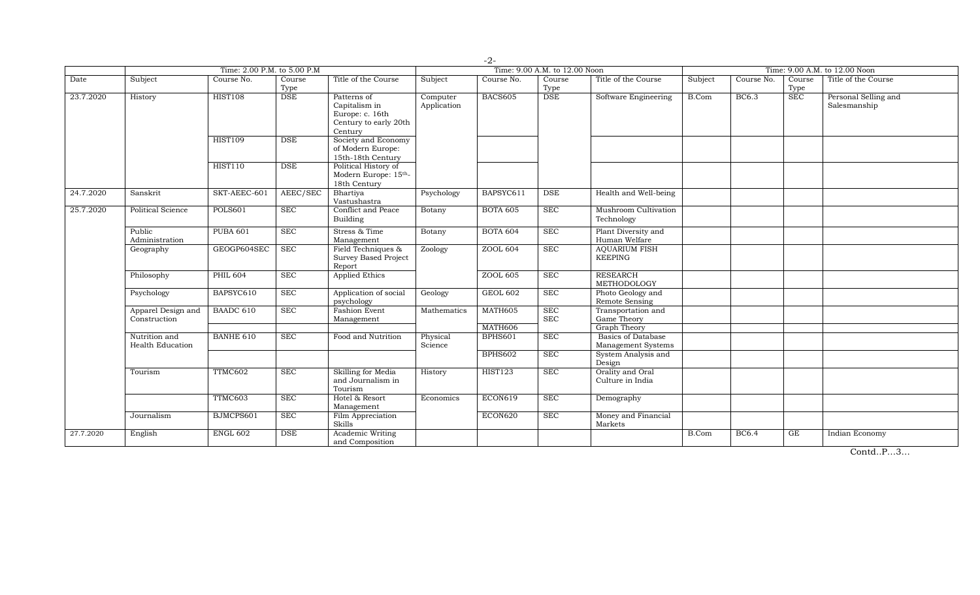|           |                                          |                             |                |                                                                                     |                         | $-2-$              |                               |                                                                 |         |              |                |                                      |
|-----------|------------------------------------------|-----------------------------|----------------|-------------------------------------------------------------------------------------|-------------------------|--------------------|-------------------------------|-----------------------------------------------------------------|---------|--------------|----------------|--------------------------------------|
|           |                                          | Time: 2.00 P.M. to 5.00 P.M |                |                                                                                     |                         |                    | Time: 9.00 A.M. to 12.00 Noon |                                                                 |         |              |                | Time: 9.00 A.M. to 12.00 Noon        |
| Date      | Subject                                  | Course No.                  | Course<br>Type | Title of the Course                                                                 | Subject                 | Course No.         | Course<br>Type                | Title of the Course                                             | Subject | Course No.   | Course<br>Type | Title of the Course                  |
| 23.7.2020 | History                                  | <b>HIST108</b>              | <b>DSE</b>     | Patterns of<br>Capitalism in<br>Europe: c. 16th<br>Century to early 20th<br>Century | Computer<br>Application | BACS605            | <b>DSE</b>                    | Software Engineering                                            | B.Com   | <b>BC6.3</b> | <b>SEC</b>     | Personal Selling and<br>Salesmanship |
|           |                                          | <b>HIST109</b>              | <b>DSE</b>     | Society and Economy<br>of Modern Europe:<br>15th-18th Century                       |                         |                    |                               |                                                                 |         |              |                |                                      |
|           |                                          | <b>HIST110</b>              | <b>DSE</b>     | Political History of<br>Modern Europe: 15th-<br>18th Century                        |                         |                    |                               |                                                                 |         |              |                |                                      |
| 24.7.2020 | Sanskrit                                 | SKT-AEEC-601                | AEEC/SEC       | Bhartiya<br>Vastushastra                                                            | Psychology              | BAPSYC611          | <b>DSE</b>                    | Health and Well-being                                           |         |              |                |                                      |
| 25.7.2020 | <b>Political Science</b>                 | <b>POLS601</b>              | <b>SEC</b>     | <b>Conflict and Peace</b><br>Building                                               | Botany                  | <b>BOTA 605</b>    | <b>SEC</b>                    | Mushroom Cultivation<br>Technology                              |         |              |                |                                      |
|           | Public<br>Administration                 | <b>PUBA 601</b>             | <b>SEC</b>     | Stress & Time<br>Management                                                         | Botany                  | <b>BOTA 604</b>    | <b>SEC</b>                    | Plant Diversity and<br>Human Welfare                            |         |              |                |                                      |
|           | Geography                                | GEOGP604SEC                 | <b>SEC</b>     | Field Techniques &<br><b>Survey Based Project</b><br>Report                         | Zoology                 | ZOOL 604           | <b>SEC</b>                    | <b>AQUARIUM FISH</b><br><b>KEEPING</b>                          |         |              |                |                                      |
|           | Philosophy                               | <b>PHIL 604</b>             | <b>SEC</b>     | <b>Applied Ethics</b>                                                               |                         | ZOOL 605           | <b>SEC</b>                    | <b>RESEARCH</b><br>METHODOLOGY                                  |         |              |                |                                      |
|           | Psychology                               | BAPSYC610                   | SEC            | Application of social<br>psychology                                                 | Geology                 | GEOL 602           | <b>SEC</b>                    | Photo Geology and<br>Remote Sensing                             |         |              |                |                                      |
|           | Apparel Design and<br>Construction       | BAADC 610                   | <b>SEC</b>     | Fashion Event<br>Management                                                         | Mathematics             | MATH605            | <b>SEC</b><br><b>SEC</b>      | Transportation and<br>Game Theory                               |         |              |                |                                      |
|           | Nutrition and<br><b>Health Education</b> | <b>BANHE 610</b>            | <b>SEC</b>     | Food and Nutrition                                                                  | Physical<br>Science     | MATH606<br>BPHS601 | <b>SEC</b>                    | <b>Graph Theory</b><br>Basics of Database<br>Management Systems |         |              |                |                                      |
|           |                                          |                             |                |                                                                                     |                         | <b>BPHS602</b>     | <b>SEC</b>                    | System Analysis and<br>Design                                   |         |              |                |                                      |
|           | Tourism                                  | TTMC602                     | <b>SEC</b>     | Skilling for Media<br>and Journalism in<br>Tourism                                  | History                 | <b>HIST123</b>     | <b>SEC</b>                    | Orality and Oral<br>Culture in India                            |         |              |                |                                      |
|           |                                          | TTMC603                     | <b>SEC</b>     | Hotel & Resort<br>Management                                                        | Economics               | ECON619            | <b>SEC</b>                    | Demography                                                      |         |              |                |                                      |
|           | Journalism                               | BJMCPS601                   | <b>SEC</b>     | Film Appreciation<br>Skills                                                         |                         | ECON620            | <b>SEC</b>                    | Money and Financial<br>Markets                                  |         |              |                |                                      |
| 27.7.2020 | English                                  | ENGL 602                    | <b>DSE</b>     | Academic Writing<br>and Composition                                                 |                         |                    |                               |                                                                 | B.Com   | <b>BC6.4</b> | GE             | Indian Economy                       |

Contd..P…3…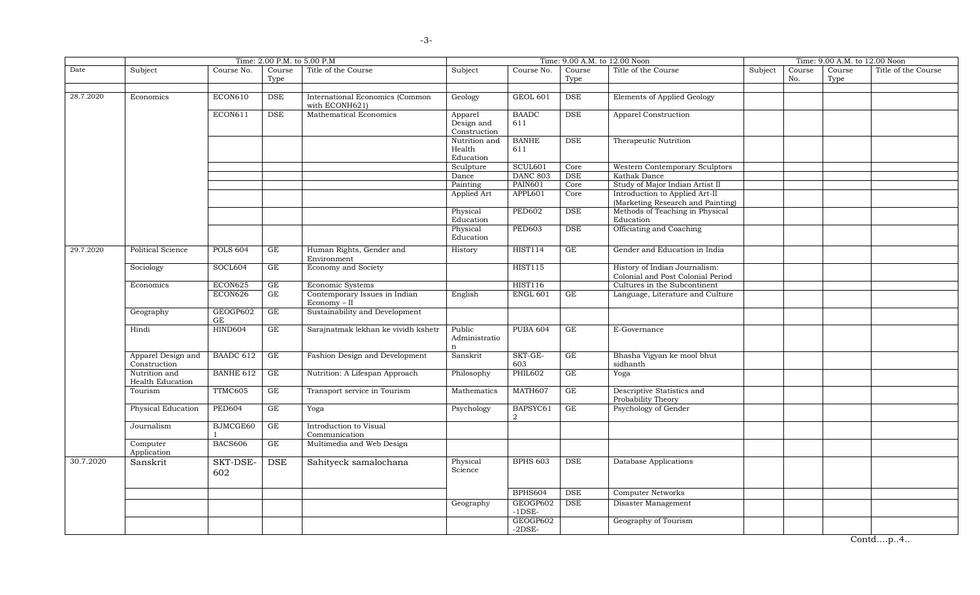|           |                                          |                  | Time: 2.00 P.M. to 5.00 P.M |                                                   |                                       |                           |                     | Time: 9.00 A.M. to 12.00 Noon                                       |         |               | Time: 9.00 A.M. to 12.00 Noon |                     |
|-----------|------------------------------------------|------------------|-----------------------------|---------------------------------------------------|---------------------------------------|---------------------------|---------------------|---------------------------------------------------------------------|---------|---------------|-------------------------------|---------------------|
| Date      | Subject                                  | Course No.       | Course<br>Type              | Title of the Course                               | Subject                               | Course No.                | Course<br>Type      | Title of the Course                                                 | Subject | Course<br>No. | Course<br>Type                | Title of the Course |
| 28.7.2020 | Economics                                | ECON610          | DSE                         | International Economics (Common<br>with ECONH621) | Geology                               | GEOL 601                  | DSE                 | Elements of Applied Geology                                         |         |               |                               |                     |
|           |                                          | ECON611          | <b>DSE</b>                  | Mathematical Economics                            | Apparel<br>Design and<br>Construction | <b>BAADC</b><br>611       | <b>DSE</b>          | Apparel Construction                                                |         |               |                               |                     |
|           |                                          |                  |                             |                                                   | Nutrition and<br>Health<br>Education  | <b>BANHE</b><br>611       | <b>DSE</b>          | Therapeutic Nutrition                                               |         |               |                               |                     |
|           |                                          |                  |                             |                                                   | Sculpture                             | SCUL601                   | Core                | Western Contemporary Sculptors                                      |         |               |                               |                     |
|           |                                          |                  |                             |                                                   | Dance                                 | <b>DANC 803</b>           | DSE                 | Kathak Dance                                                        |         |               |                               |                     |
|           |                                          |                  |                             |                                                   | Painting                              | <b>PAIN601</b>            | Core                | Study of Major Indian Artist II                                     |         |               |                               |                     |
|           |                                          |                  |                             |                                                   | Applied Art                           | APPL601                   | Core                | Introduction to Applied Art-II<br>(Marketing Research and Painting) |         |               |                               |                     |
|           |                                          |                  |                             |                                                   | Physical<br>Education                 | <b>PED602</b>             | <b>DSE</b>          | Methods of Teaching in Physical<br>Education                        |         |               |                               |                     |
|           |                                          |                  |                             |                                                   | Physical<br>Education                 | <b>PED603</b>             | <b>DSE</b>          | Officiating and Coaching                                            |         |               |                               |                     |
| 29.7.2020 | Political Science                        | <b>POLS 604</b>  | $\operatorname{GE}$         | Human Rights, Gender and<br>Environment           | History                               | <b>HIST114</b>            | GE                  | Gender and Education in India                                       |         |               |                               |                     |
|           | Sociology                                | SOCL604          | GE                          | Economy and Society                               |                                       | <b>HIST115</b>            |                     | History of Indian Journalism:<br>Colonial and Post Colonial Period  |         |               |                               |                     |
|           | Economics                                | ECON625          | $\operatorname{GE}$         | Economic Systems                                  |                                       | <b>HIST116</b>            |                     | Cultures in the Subcontinent                                        |         |               |                               |                     |
|           |                                          | ECON626          | $\operatorname{GE}$         | Contemporary Issues in Indian<br>Economy - II     | English                               | <b>ENGL 601</b>           | GE                  | Language, Literature and Culture                                    |         |               |                               |                     |
|           | Geography                                | GEOGP602<br>GE   | GE                          | Sustainability and Development                    |                                       |                           |                     |                                                                     |         |               |                               |                     |
|           | Hindi                                    | <b>HIND604</b>   | $\operatorname{GE}$         | Sarajnatmak lekhan ke vividh kshetr               | Public<br>Administratio<br>n          | <b>PUBA 604</b>           | $\operatorname{GE}$ | E-Governance                                                        |         |               |                               |                     |
|           | Apparel Design and<br>Construction       | BAADC 612        | $\operatorname{GE}$         | Fashion Design and Development                    | Sanskrit                              | SKT-GE-<br>603            | GE                  | Bhasha Vigyan ke mool bhut<br>sidhanth                              |         |               |                               |                     |
|           | Nutrition and<br><b>Health Education</b> | <b>BANHE 612</b> | GE                          | Nutrition: A Lifespan Approach                    | Philosophy                            | <b>PHIL602</b>            | GE                  | Yoga                                                                |         |               |                               |                     |
|           | Tourism                                  | TTMC605          | $\operatorname{GE}$         | Transport service in Tourism                      | Mathematics                           | MATH607                   | GE                  | Descriptive Statistics and<br>Probability Theory                    |         |               |                               |                     |
|           | Physical Education                       | <b>PED604</b>    | GE                          | Yoga                                              | Psychology                            | BAPSYC61<br>$\mathcal{D}$ | GE                  | Psychology of Gender                                                |         |               |                               |                     |
|           | Journalism                               | BJMCGE60         | GE                          | Introduction to Visual<br>Communication           |                                       |                           |                     |                                                                     |         |               |                               |                     |
|           | Computer<br>Application                  | <b>BACS606</b>   | GE                          | Multimedia and Web Design                         |                                       |                           |                     |                                                                     |         |               |                               |                     |
| 30.7.2020 | Sanskrit                                 | SKT-DSE-<br>602  | <b>DSE</b>                  | Sahityeck samalochana                             | Physical<br>Science                   | <b>BPHS 603</b>           | DSE                 | Database Applications                                               |         |               |                               |                     |
|           |                                          |                  |                             |                                                   |                                       | BPHS604                   | <b>DSE</b>          | <b>Computer Networks</b>                                            |         |               |                               |                     |
|           |                                          |                  |                             |                                                   | Geography                             | GEOGP602<br>$-1$ DSE $-$  | <b>DSE</b>          | Disaster Management                                                 |         |               |                               |                     |
|           |                                          |                  |                             |                                                   |                                       | GEOGP602<br>$-2$ DSE $-$  |                     | Geography of Tourism                                                |         |               |                               |                     |

Contd….p..4..